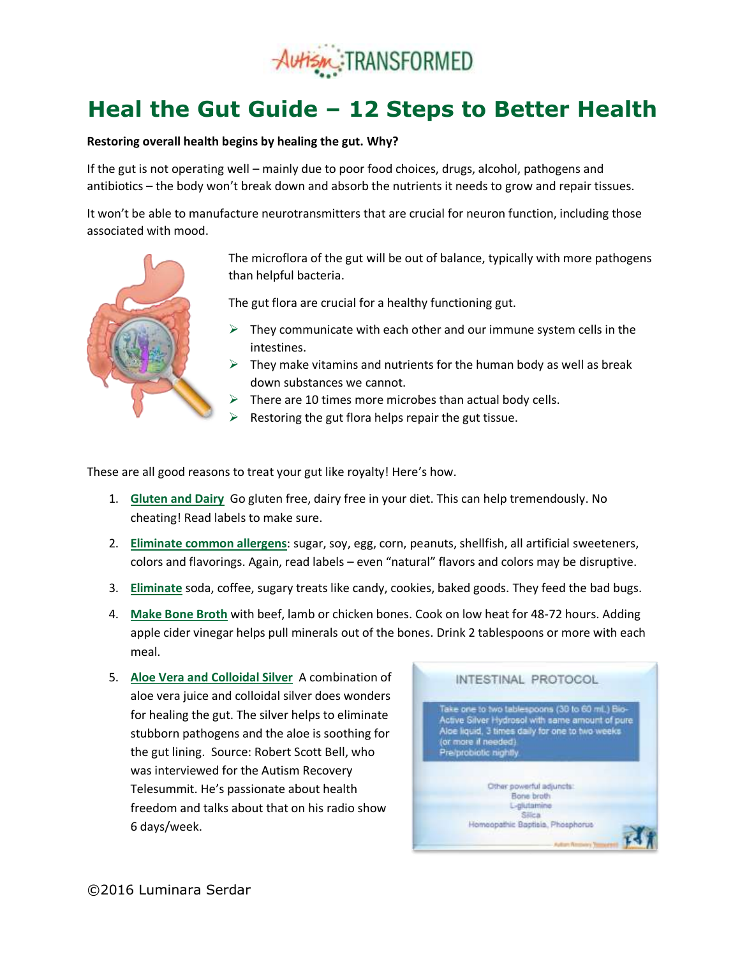

## **Heal the Gut Guide – 12 Steps to Better Health**

## **Restoring overall health begins by healing the gut. Why?**

If the gut is not operating well – mainly due to poor food choices, drugs, alcohol, pathogens and antibiotics – the body won't break down and absorb the nutrients it needs to grow and repair tissues.

It won't be able to manufacture neurotransmitters that are crucial for neuron function, including those associated with mood.



The microflora of the gut will be out of balance, typically with more pathogens than helpful bacteria.

The gut flora are crucial for a healthy functioning gut.

- $\triangleright$  They communicate with each other and our immune system cells in the intestines.
- $\triangleright$  They make vitamins and nutrients for the human body as well as break down substances we cannot.
- $\triangleright$  There are 10 times more microbes than actual body cells.
- Restoring the gut flora helps repair the gut tissue.

These are all good reasons to treat your gut like royalty! Here's how.

- 1. **Gluten and Dairy** Go gluten free, dairy free in your diet. This can help tremendously. No cheating! Read labels to make sure.
- 2. **Eliminate common allergens**: sugar, soy, egg, corn, peanuts, shellfish, all artificial sweeteners, colors and flavorings. Again, read labels – even "natural" flavors and colors may be disruptive.
- 3. **Eliminate** soda, coffee, sugary treats like candy, cookies, baked goods. They feed the bad bugs.
- 4. **Make Bone Broth** with beef, lamb or chicken bones. Cook on low heat for 48-72 hours. Adding apple cider vinegar helps pull minerals out of the bones. Drink 2 tablespoons or more with each meal.
- 5. **Aloe Vera and Colloidal Silver** A combination of aloe vera juice and colloidal silver does wonders for healing the gut. The silver helps to eliminate stubborn pathogens and the aloe is soothing for the gut lining. Source: Robert Scott Bell, who was interviewed for the Autism Recovery Telesummit. He's passionate about health freedom and talks about that on his radio show 6 days/week.